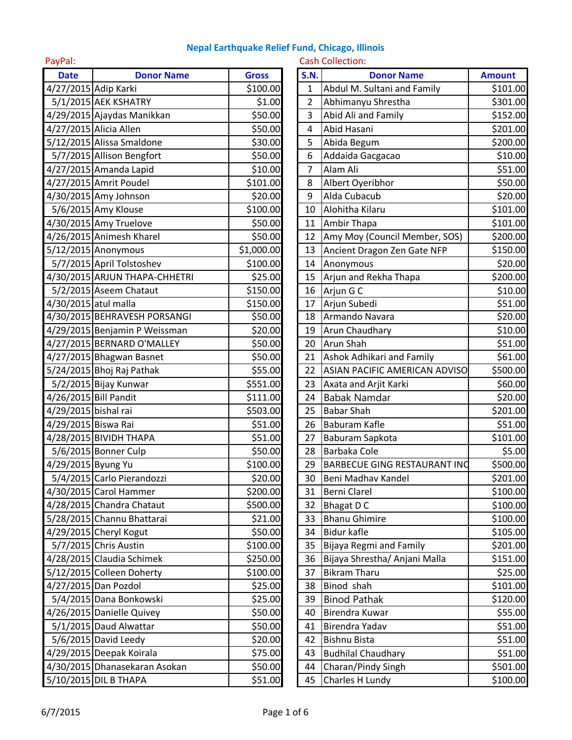| PayPal:              |                               |              |             | <b>Cash Collection:</b>             |               |
|----------------------|-------------------------------|--------------|-------------|-------------------------------------|---------------|
| <b>Date</b>          | <b>Donor Name</b>             | <b>Gross</b> | <b>S.N.</b> | <b>Donor Name</b>                   | <b>Amount</b> |
|                      | 4/27/2015 Adip Karki          | \$100.00     | $\mathbf 1$ | Abdul M. Sultani and Family         | \$101.00      |
|                      | 5/1/2015 AEK KSHATRY          | \$1.00       | 2           | Abhimanyu Shrestha                  | \$301.00      |
|                      | 4/29/2015 Ajaydas Manikkan    | \$50.00      | 3           | Abid Ali and Family                 | \$152.00      |
|                      | 4/27/2015 Alicia Allen        | \$50.00      | 4           | Abid Hasani                         | \$201.00      |
|                      | 5/12/2015 Alissa Smaldone     | \$30.00      | 5           | Abida Begum                         | \$200.00      |
|                      | 5/7/2015 Allison Bengfort     | \$50.00      | 6           | Addaida Gacgacao                    | \$10.00       |
|                      | 4/27/2015 Amanda Lapid        | \$10.00      | 7           | Alam Ali                            | \$51.00       |
|                      | 4/27/2015 Amrit Poudel        | \$101.00     | 8           | Albert Oyeribhor                    | \$50.00       |
|                      | 4/30/2015 Amy Johnson         | \$20.00      | 9           | Alda Cubacub                        | \$20.00       |
|                      | 5/6/2015 Amy Klouse           | \$100.00     | 10          | Alohitha Kilaru                     | \$101.00      |
|                      | 4/30/2015 Amy Truelove        | \$50.00      | 11          | Ambir Thapa                         | \$101.00      |
|                      | 4/26/2015 Animesh Kharel      | \$50.00      | 12          | Amy Moy (Council Member, SOS)       | \$200.00      |
|                      | 5/12/2015 Anonymous           | \$1,000.00   | 13          | Ancient Dragon Zen Gate NFP         | \$150.00      |
|                      | 5/7/2015 April Tolstoshev     | \$100.00     | 14          | Anonymous                           | \$20.00       |
|                      | 4/30/2015 ARJUN THAPA-CHHETRI | \$25.00      | 15          | Arjun and Rekha Thapa               | \$200.00      |
|                      | 5/2/2015 Aseem Chataut        | \$150.00     | 16          | Arjun G C                           | \$10.00       |
| 4/30/2015 atul malla |                               | \$150.00     | 17          | Arjun Subedi                        | \$51.00       |
|                      | 4/30/2015 BEHRAVESH PORSANGI  | \$50.00      | 18          | Armando Navara                      | \$20.00       |
|                      | 4/29/2015 Benjamin P Weissman | \$20.00      | 19          | Arun Chaudhary                      | \$10.00       |
|                      | 4/27/2015 BERNARD O'MALLEY    | \$50.00      | 20          | <b>Arun Shah</b>                    | \$51.00       |
|                      | 4/27/2015 Bhagwan Basnet      | \$50.00      | 21          | Ashok Adhikari and Family           | \$61.00       |
|                      | 5/24/2015 Bhoj Raj Pathak     | \$55.00      | 22          | ASIAN PACIFIC AMERICAN ADVISO       | \$500.00      |
|                      | 5/2/2015 Bijay Kunwar         | \$551.00     | 23          | Axata and Arjit Karki               | \$60.00       |
|                      | 4/26/2015 Bill Pandit         | \$111.00     | 24          | <b>Babak Namdar</b>                 | \$20.00       |
| 4/29/2015 bishal rai |                               | \$503.00     | 25          | <b>Babar Shah</b>                   | \$201.00      |
| 4/29/2015 Biswa Rai  |                               | \$51.00      | 26          | <b>Baburam Kafle</b>                | \$51.00       |
|                      | 4/28/2015 BIVIDH THAPA        | \$51.00      | 27          | Baburam Sapkota                     | \$101.00      |
|                      | 5/6/2015 Bonner Culp          | \$50.00      | 28          | Barbaka Cole                        | \$5.00        |
| 4/29/2015 Byung Yu   |                               | \$100.00     | 29          | <b>BARBECUE GING RESTAURANT INC</b> | \$500.00      |
|                      | 5/4/2015 Carlo Pierandozzi    | \$20.00      | 30          | Beni Madhav Kandel                  | \$201.00      |
|                      | 4/30/2015 Carol Hammer        | \$200.00     | 31          | <b>Berni Clarel</b>                 | \$100.00      |
|                      | 4/28/2015 Chandra Chataut     | \$500.00     | 32          | Bhagat D C                          | \$100.00      |
|                      | 5/28/2015 Channu Bhattarai    | \$21.00      | 33          | <b>Bhanu Ghimire</b>                | \$100.00      |
|                      | 4/29/2015 Cheryl Kogut        | \$50.00      | 34          | <b>Bidur kafle</b>                  | \$105.00      |
|                      | 5/7/2015 Chris Austin         | \$100.00     | 35          | Bijaya Regmi and Family             | \$201.00      |
|                      | 4/28/2015 Claudia Schimek     | \$250.00     | 36          | Bijaya Shrestha/ Anjani Malla       | \$151.00      |
|                      | 5/12/2015 Colleen Doherty     | \$100.00     | 37          | <b>Bikram Tharu</b>                 | \$25.00       |
|                      | 4/27/2015 Dan Pozdol          | \$25.00      | 38          | Binod shah                          | \$101.00      |
|                      | 5/4/2015 Dana Bonkowski       | \$25.00      | 39          | <b>Binod Pathak</b>                 | \$120.00      |
|                      | 4/26/2015 Danielle Quivey     | \$50.00      | 40          | Birendra Kuwar                      | \$55.00       |
|                      | 5/1/2015 Daud Alwattar        | \$50.00      | 41          | Birendra Yadav                      | \$51.00       |
|                      | $5/6/2015$ David Leedy        | \$20.00      | 42          | <b>Bishnu Bista</b>                 | \$51.00       |
|                      | 4/29/2015 Deepak Koirala      | \$75.00      | 43          | <b>Budhilal Chaudhary</b>           | \$51.00       |
|                      | 4/30/2015 Dhanasekaran Asokan | \$50.00      | 44          | Charan/Pindy Singh                  | \$501.00      |
|                      | 5/10/2015 DIL B THAPA         | \$51.00      | 45          | Charles H Lundy                     | \$100.00      |

| <b>S.N.</b>    | <b>Donor Name</b>                   | <b>Amount</b> |
|----------------|-------------------------------------|---------------|
| $\mathbf{1}$   | Abdul M. Sultani and Family         | \$101.00      |
| $\overline{2}$ | Abhimanyu Shrestha                  | \$301.00      |
| 3              | Abid Ali and Family                 | \$152.00      |
| 4              | Abid Hasani                         | \$201.00      |
| 5              | Abida Begum                         | \$200.00      |
| 6              | Addaida Gacgacao                    | \$10.00       |
| 7              | Alam Ali                            | \$51.00       |
| 8              | Albert Oyeribhor                    | \$50.00       |
| 9              | Alda Cubacub                        | \$20.00       |
| 10             | Alohitha Kilaru                     | \$101.00      |
| 11             | Ambir Thapa                         | \$101.00      |
| 12             | Amy Moy (Council Member, SOS)       | \$200.00      |
| 13             | Ancient Dragon Zen Gate NFP         | \$150.00      |
| 14             | Anonymous                           | \$20.00       |
| 15             | Arjun and Rekha Thapa               | \$200.00      |
| 16             | Arjun G C                           | \$10.00       |
| 17             | Arjun Subedi                        | \$51.00       |
| 18             | Armando Navara                      | \$20.00       |
| 19             | Arun Chaudhary                      | \$10.00       |
| 20             | Arun Shah                           | \$51.00       |
| 21             | Ashok Adhikari and Family           | \$61.00       |
| 22             | ASIAN PACIFIC AMERICAN ADVISO       | \$500.00      |
| 23             | Axata and Arjit Karki               | \$60.00       |
| 24             | <b>Babak Namdar</b>                 | \$20.00       |
| 25             | <b>Babar Shah</b>                   | \$201.00      |
| 26             | Baburam Kafle                       | \$51.00       |
| 27             | Baburam Sapkota                     | \$101.00      |
| 28             | Barbaka Cole                        | \$5.00        |
| 29             | <b>BARBECUE GING RESTAURANT INC</b> | \$500.00      |
| 30             | Beni Madhav Kandel                  | \$201.00      |
| 31             | <b>Berni Clarel</b>                 | \$100.00      |
| 32             | <b>Bhagat D C</b>                   | \$100.00      |
| 33             | <b>Bhanu Ghimire</b>                | \$100.00      |
| 34             | <b>Bidur kafle</b>                  | \$105.00      |
| 35             | <b>Bijaya Regmi and Family</b>      | \$201.00      |
| 36             | Bijaya Shrestha/ Anjani Malla       | \$151.00      |
| 37             | <b>Bikram Tharu</b>                 | \$25.00       |
| 38             | Binod shah                          | \$101.00      |
| 39             | <b>Binod Pathak</b>                 | \$120.00      |
| 40             | Birendra Kuwar                      | \$55.00       |
| 41             | Birendra Yadav                      | \$51.00       |
| 42             | <b>Bishnu Bista</b>                 | \$51.00       |
| 43             | <b>Budhilal Chaudhary</b>           | \$51.00       |
| 44             | Charan/Pindy Singh                  | \$501.00      |
| 45             | Charles H Lundy                     | \$100.00      |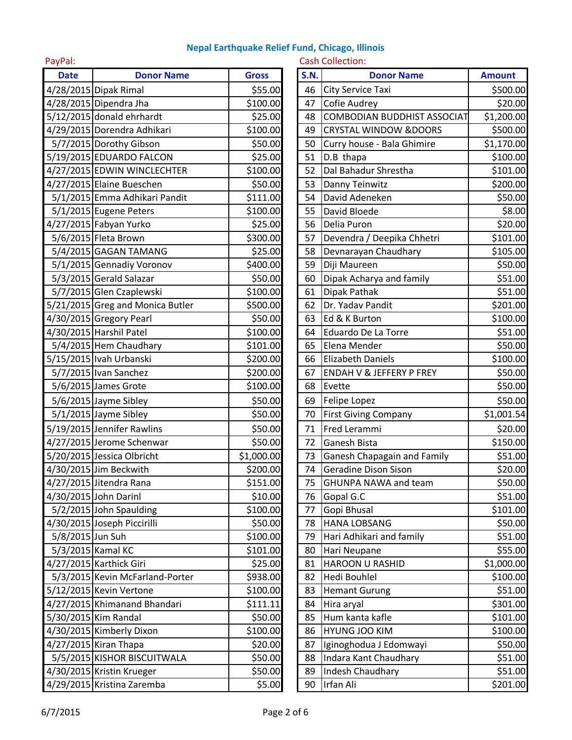| PayPal:          |                                  |              |             | <b>Cash Collection:</b>             |               |
|------------------|----------------------------------|--------------|-------------|-------------------------------------|---------------|
| <b>Date</b>      | <b>Donor Name</b>                | <b>Gross</b> | <b>S.N.</b> | <b>Donor Name</b>                   | <b>Amount</b> |
|                  | 4/28/2015 Dipak Rimal            | \$55.00      | 46          | City Service Taxi                   | \$500.00      |
|                  | 4/28/2015 Dipendra Jha           | \$100.00     | 47          | <b>Cofie Audrey</b>                 | \$20.00       |
|                  | $5/12/2015$ donald ehrhardt      | \$25.00      | 48          | <b>COMBODIAN BUDDHIST ASSOCIAT</b>  | \$1,200.00    |
|                  | 4/29/2015 Dorendra Adhikari      | \$100.00     | 49          | <b>CRYSTAL WINDOW &amp;DOORS</b>    | \$500.00      |
|                  | 5/7/2015 Dorothy Gibson          | \$50.00      | 50          | Curry house - Bala Ghimire          | \$1,170.00    |
|                  | 5/19/2015 EDUARDO FALCON         | \$25.00      | 51          | D.B thapa                           | \$100.00      |
|                  | 4/27/2015 EDWIN WINCLECHTER      | \$100.00     | 52          | Dal Bahadur Shrestha                | \$101.00      |
|                  | 4/27/2015 Elaine Bueschen        | \$50.00      | 53          | Danny Teinwitz                      | \$200.00      |
|                  | 5/1/2015 Emma Adhikari Pandit    | \$111.00     | 54          | David Adeneken                      | \$50.00       |
|                  | 5/1/2015 Eugene Peters           | \$100.00     | 55          | David Bloede                        | \$8.00        |
|                  | 4/27/2015 Fabyan Yurko           | \$25.00      | 56          | Delia Puron                         | \$20.00       |
|                  | 5/6/2015 Fleta Brown             | \$300.00     | 57          | Devendra / Deepika Chhetri          | \$101.00      |
|                  | 5/4/2015 GAGAN TAMANG            | \$25.00      | 58          | Devnarayan Chaudhary                | \$105.00      |
|                  | 5/1/2015 Gennadiy Voronov        | \$400.00     | 59          | Diji Maureen                        | \$50.00       |
|                  | 5/3/2015 Gerald Salazar          | \$50.00      | 60          | Dipak Acharya and family            | \$51.00       |
|                  | 5/7/2015 Glen Czaplewski         | \$100.00     | 61          | Dipak Pathak                        | \$51.00       |
|                  | 5/21/2015 Greg and Monica Butler | \$500.00     | 62          | Dr. Yadav Pandit                    | \$201.00      |
|                  | 4/30/2015 Gregory Pearl          | \$50.00      | 63          | Ed & K Burton                       | \$100.00      |
|                  | 4/30/2015 Harshil Patel          | \$100.00     | 64          | Eduardo De La Torre                 | \$51.00       |
|                  | 5/4/2015 Hem Chaudhary           | \$101.00     | 65          | Elena Mender                        | \$50.00       |
|                  | 5/15/2015 Ivah Urbanski          | \$200.00     | 66          | <b>Elizabeth Daniels</b>            | \$100.00      |
|                  | 5/7/2015 Ivan Sanchez            | \$200.00     | 67          | <b>ENDAH V &amp; JEFFERY P FREY</b> | \$50.00       |
|                  | 5/6/2015 James Grote             | \$100.00     | 68          | Evette                              | \$50.00       |
|                  | 5/6/2015 Jayme Sibley            | \$50.00      | 69          | Felipe Lopez                        | \$50.00       |
|                  | $5/1/2015$ Jayme Sibley          | \$50.00      | 70          | <b>First Giving Company</b>         | \$1,001.54    |
|                  | 5/19/2015 Jennifer Rawlins       | \$50.00      | 71          | Fred Lerammi                        | \$20.00       |
|                  | 4/27/2015 Jerome Schenwar        | \$50.00      | 72          | Ganesh Bista                        | \$150.00      |
|                  | 5/20/2015 Jessica Olbricht       | \$1,000.00   | 73          | <b>Ganesh Chapagain and Family</b>  | \$51.00       |
|                  | 4/30/2015 Jim Beckwith           | \$200.00     | 74          | Geradine Dison Sison                | \$20.00       |
|                  | 4/27/2015 Jitendra Rana          | \$151.00     | 75          | <b>GHUNPA NAWA and team</b>         | \$50.00       |
|                  | 4/30/2015 John Darinl            | \$10.00      | 76          | Gopal G.C                           | \$51.00       |
|                  | 5/2/2015 John Spaulding          | \$100.00     | 77          | Gopi Bhusal                         | \$101.00      |
|                  | 4/30/2015 Joseph Piccirilli      | \$50.00      | 78          | <b>HANA LOBSANG</b>                 | \$50.00       |
| 5/8/2015 Jun Suh |                                  | \$100.00     | 79          | Hari Adhikari and family            | \$51.00       |
|                  | 5/3/2015 Kamal KC                | \$101.00     | 80          | Hari Neupane                        | \$55.00       |
|                  | 4/27/2015 Karthick Giri          | \$25.00      | 81          | HAROON U RASHID                     | \$1,000.00    |
|                  | 5/3/2015 Kevin McFarland-Porter  | \$938.00     | 82          | <b>Hedi Bouhlel</b>                 | \$100.00      |
|                  | 5/12/2015 Kevin Vertone          | \$100.00     | 83          | <b>Hemant Gurung</b>                | \$51.00       |
|                  | 4/27/2015 Khimanand Bhandari     | \$111.11     | 84          | Hira aryal                          | \$301.00      |
|                  | 5/30/2015 Kim Randal             | \$50.00      | 85          | Hum kanta kafle                     | \$101.00      |
|                  | 4/30/2015 Kimberly Dixon         | \$100.00     | 86          | <b>HYUNG JOO KIM</b>                | \$100.00      |
|                  | 4/27/2015 Kiran Thapa            | \$20.00      | 87          | Iginoghodua J Edomwayi              | \$50.00       |
|                  | 5/5/2015 KISHOR BISCUITWALA      | \$50.00      | 88          | Indara Kant Chaudhary               | \$51.00       |
|                  | 4/30/2015 Kristin Krueger        | \$50.00      | 89          | Indesh Chaudhary                    | \$51.00       |
|                  | 4/29/2015 Kristina Zaremba       | \$5.00       | 90          | Irfan Ali                           | \$201.00      |

| <b>S.N.</b> | <b>Donor Name</b>                  | <b>Amount</b> |
|-------------|------------------------------------|---------------|
| 46          | <b>City Service Taxi</b>           | \$500.00      |
| 47          | Cofie Audrey                       | \$20.00       |
| 48          | <b>COMBODIAN BUDDHIST ASSOCIAT</b> | \$1,200.00    |
| 49          | <b>CRYSTAL WINDOW &amp;DOORS</b>   | \$500.00      |
| 50          | Curry house - Bala Ghimire         | \$1,170.00    |
| 51          | D.B thapa                          | \$100.00      |
| 52          | Dal Bahadur Shrestha               | \$101.00      |
| 53          | Danny Teinwitz                     | \$200.00      |
| 54          | David Adeneken                     | \$50.00       |
| 55          | David Bloede                       | \$8.00        |
| 56          | Delia Puron                        | \$20.00       |
| 57          | Devendra / Deepika Chhetri         | \$101.00      |
| 58          | Devnarayan Chaudhary               | \$105.00      |
| 59          | Diji Maureen                       | \$50.00       |
| 60          | Dipak Acharya and family           | \$51.00       |
| 61          | Dipak Pathak                       | \$51.00       |
| 62          | Dr. Yadav Pandit                   | \$201.00      |
| 63          | Ed & K Burton                      | \$100.00      |
| 64          | Eduardo De La Torre                | \$51.00       |
| 65          | Elena Mender                       | \$50.00       |
| 66          | <b>Elizabeth Daniels</b>           | \$100.00      |
| 67          | ENDAH V & JEFFERY P FREY           | \$50.00       |
| 68          | Evette                             | \$50.00       |
| 69          | Felipe Lopez                       | \$50.00       |
| 70          | <b>First Giving Company</b>        | \$1,001.54    |
| 71          | Fred Lerammi                       | \$20.00       |
| 72          | Ganesh Bista                       | \$150.00      |
| 73          | <b>Ganesh Chapagain and Family</b> | \$51.00       |
| 74          | Geradine Dison Sison               | 520.00        |
| 75          | <b>GHUNPA NAWA and team</b>        | \$50.00       |
| 76          | Gopal G.C                          | \$51.00       |
| 77          | Gopi Bhusal                        | \$101.00      |
| 78          | <b>HANA LOBSANG</b>                | \$50.00       |
| 79          | Hari Adhikari and family           | \$51.00       |
| 80          | Hari Neupane                       | \$55.00       |
| 81          | <b>HAROON U RASHID</b>             | \$1,000.00    |
| 82          | Hedi Bouhlel                       | \$100.00      |
| 83          | <b>Hemant Gurung</b>               | \$51.00       |
| 84          | Hira aryal                         | \$301.00      |
| 85          | Hum kanta kafle                    | \$101.00      |
| 86          | <b>HYUNG JOO KIM</b>               | \$100.00      |
| 87          | Iginoghodua J Edomwayi             | \$50.00       |
| 88          | Indara Kant Chaudhary              | \$51.00       |
| 89          | Indesh Chaudhary                   | \$51.00       |
| 90          | Irfan Ali                          | \$201.00      |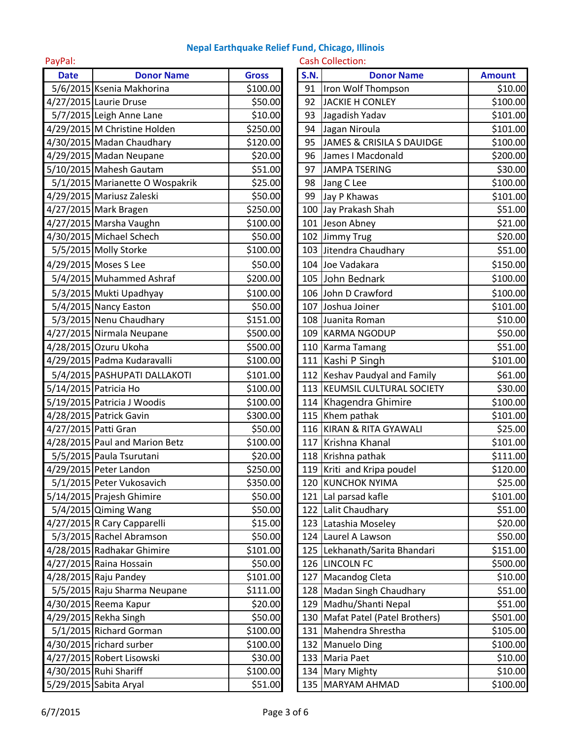| PayPal:     |                                 |              |             | <b>Cash Collection:</b>            |               |
|-------------|---------------------------------|--------------|-------------|------------------------------------|---------------|
| <b>Date</b> | <b>Donor Name</b>               | <b>Gross</b> | <b>S.N.</b> | <b>Donor Name</b>                  | <b>Amount</b> |
|             | 5/6/2015 Ksenia Makhorina       | \$100.00     | 91          | Iron Wolf Thompson                 | \$10.00       |
|             | 4/27/2015 Laurie Druse          | \$50.00      | 92          | <b>JACKIE H CONLEY</b>             | \$100.00      |
|             | 5/7/2015 Leigh Anne Lane        | \$10.00      | 93          | Jagadish Yadav                     | \$101.00      |
|             | 4/29/2015 M Christine Holden    | \$250.00     | 94          | Jagan Niroula                      | \$101.00      |
|             | 4/30/2015 Madan Chaudhary       | \$120.00     | 95          | JAMES & CRISILA S DAUIDGE          | \$100.00      |
|             | 4/29/2015 Madan Neupane         | \$20.00      | 96          | James I Macdonald                  | \$200.00      |
|             | 5/10/2015 Mahesh Gautam         | \$51.00      | 97          | <b>JAMPA TSERING</b>               | \$30.00       |
|             | 5/1/2015 Marianette O Wospakrik | \$25.00      | 98          | Jang C Lee                         | \$100.00      |
|             | 4/29/2015 Mariusz Zaleski       | \$50.00      | 99          | Jay P Khawas                       | \$101.00      |
|             | 4/27/2015 Mark Bragen           | \$250.00     |             | 100 Jay Prakash Shah               | \$51.00       |
|             | 4/27/2015 Marsha Vaughn         | \$100.00     |             | 101 Jeson Abney                    | \$21.00       |
|             | 4/30/2015 Michael Schech        | \$50.00      |             | 102 Jimmy Trug                     | \$20.00       |
|             | 5/5/2015 Molly Storke           | \$100.00     |             | 103 Jitendra Chaudhary             | \$51.00       |
|             | 4/29/2015 Moses S Lee           | \$50.00      |             | 104 Joe Vadakara                   | \$150.00      |
|             | 5/4/2015 Muhammed Ashraf        | \$200.00     |             | 105 John Bednark                   | \$100.00      |
|             | 5/3/2015 Mukti Upadhyay         | \$100.00     |             | 106 John D Crawford                | \$100.00      |
|             | 5/4/2015 Nancy Easton           | \$50.00      | 107         | Joshua Joiner                      | \$101.00      |
|             | 5/3/2015 Nenu Chaudhary         | \$151.00     |             | 108 Juanita Roman                  | \$10.00       |
|             | 4/27/2015 Nirmala Neupane       | \$500.00     |             | 109 KARMA NGODUP                   | \$50.00       |
|             | 4/28/2015 Ozuru Ukoha           | \$500.00     |             | 110 Karma Tamang                   | \$51.00       |
|             | 4/29/2015 Padma Kudaravalli     | \$100.00     |             | 111 Kashi P Singh                  | \$101.00      |
|             | 5/4/2015 PASHUPATI DALLAKOTI    | \$101.00     |             | 112 Keshav Paudyal and Family      | \$61.00       |
|             | 5/14/2015 Patricia Ho           | \$100.00     |             | 113   KEUMSIL CULTURAL SOCIETY     | \$30.00       |
|             | 5/19/2015 Patricia J Woodis     | \$100.00     |             | 114 Khagendra Ghimire              | \$100.00      |
|             | 4/28/2015 Patrick Gavin         | \$300.00     |             | 115 Khem pathak                    | \$101.00      |
|             | 4/27/2015 Patti Gran            | \$50.00      |             | 116 KIRAN & RITA GYAWALI           | \$25.00       |
|             | 4/28/2015 Paul and Marion Betz  | \$100.00     |             | 117 Krishna Khanal                 | \$101.00      |
|             | 5/5/2015 Paula Tsurutani        | \$20.00      |             | 118 Krishna pathak                 | \$111.00      |
|             | 4/29/2015 Peter Landon          | \$250.00     |             | 119 Kriti and Kripa poudel         | \$120.00      |
|             | 5/1/2015 Peter Vukosavich       | \$350.00     |             | 120 KUNCHOK NYIMA                  | \$25.00       |
|             | 5/14/2015 Prajesh Ghimire       | \$50.00      |             | 121 Lal parsad kafle               | \$101.00      |
|             | 5/4/2015 Qiming Wang            | \$50.00      |             | 122 Lalit Chaudhary                | \$51.00       |
|             | 4/27/2015 R Cary Capparelli     | \$15.00      |             | 123 Latashia Moseley               | \$20.00       |
|             | 5/3/2015 Rachel Abramson        | \$50.00      |             | 124 Laurel A Lawson                | \$50.00       |
|             | 4/28/2015 Radhakar Ghimire      | \$101.00     |             | 125 Lekhanath/Sarita Bhandari      | \$151.00      |
|             | 4/27/2015 Raina Hossain         | \$50.00      |             | 126 LINCOLN FC                     | \$500.00      |
|             | 4/28/2015 Raju Pandey           | \$101.00     |             | 127 Macandog Cleta                 | \$10.00       |
|             | 5/5/2015 Raju Sharma Neupane    | \$111.00     |             | 128 Madan Singh Chaudhary          | \$51.00       |
|             | 4/30/2015 Reema Kapur           | \$20.00      |             | 129 Madhu/Shanti Nepal             | \$51.00       |
|             | 4/29/2015 Rekha Singh           | \$50.00      |             | 130   Mafat Patel (Patel Brothers) | \$501.00      |
|             | 5/1/2015 Richard Gorman         | \$100.00     |             | 131 Mahendra Shrestha              | \$105.00      |
|             | 4/30/2015 richard surber        | \$100.00     |             | 132 Manuelo Ding                   | \$100.00      |
|             | 4/27/2015 Robert Lisowski       | \$30.00      |             | 133 Maria Paet                     | \$10.00       |
|             | 4/30/2015 Ruhi Shariff          | \$100.00     |             | 134 Mary Mighty                    | \$10.00       |
|             | 5/29/2015 Sabita Aryal          | \$51.00      |             | 135 MARYAM AHMAD                   | \$100.00      |

| <b>S.N.</b> | <b>Donor Name</b>                    | <b>Amount</b> |
|-------------|--------------------------------------|---------------|
| 91          | Iron Wolf Thompson                   | \$10.00       |
| 92          | <b>JACKIE H CONLEY</b>               | \$100.00      |
| 93          | Jagadish Yadav                       | \$101.00      |
| 94          | Jagan Niroula                        | \$101.00      |
| 95          | <b>JAMES &amp; CRISILA S DAUIDGE</b> | \$100.00      |
| 96          | James I Macdonald                    | \$200.00      |
| 97          | <b>JAMPA TSERING</b>                 | \$30.00       |
| 98          | Jang C Lee                           | \$100.00      |
| 99          | Jay P Khawas                         | \$101.00      |
| 100         | Jay Prakash Shah                     | \$51.00       |
| 101         | Jeson Abney                          | \$21.00       |
|             | 102 Jimmy Trug                       | \$20.00       |
| 103         | Jitendra Chaudhary                   | \$51.00       |
| 104         | Joe Vadakara                         | \$150.00      |
| 105         | John Bednark                         | \$100.00      |
| 106         | John D Crawford                      | \$100.00      |
|             | 107 Joshua Joiner                    | \$101.00      |
| 108         | Juanita Roman                        | \$10.00       |
| 109         | <b>KARMA NGODUP</b>                  | \$50.00       |
| 110         | <b>Karma Tamang</b>                  | \$51.00       |
| 111         | Kashi P Singh                        | \$101.00      |
| 112         | Keshav Paudyal and Family            | \$61.00       |
| 113         | KEUMSIL CULTURAL SOCIETY             | \$30.00       |
| 114         | Khagendra Ghimire                    | \$100.00      |
| 115         | Khem pathak                          | \$101.00      |
| 116         | <b>KIRAN &amp; RITA GYAWALI</b>      | \$25.00       |
| 117         | Krishna Khanal                       | \$101.00      |
| 118         | Krishna pathak                       | \$111.00      |
| 119         | Kriti and Kripa poudel               | \$120.00      |
| 120         | <b>KUNCHOK NYIMA</b>                 | \$25.00       |
| 121         | Lal parsad kafle                     | \$101.00      |
| 122         | Lalit Chaudhary                      | \$51.00       |
| 123         | Latashia Moseley                     | \$20.00       |
| 124         | Laurel A Lawson                      | \$50.00       |
| 125         | Lekhanath/Sarita Bhandari            | \$151.00      |
| 126         | <b>LINCOLN FC</b>                    | \$500.00      |
| 127         | Macandog Cleta                       | \$10.00       |
| 128         | Madan Singh Chaudhary                | \$51.00       |
| 129         | Madhu/Shanti Nepal                   | \$51.00       |
| 130         | Mafat Patel (Patel Brothers)         | \$501.00      |
| 131         | Mahendra Shrestha                    | \$105.00      |
| 132         | <b>Manuelo Ding</b>                  | \$100.00      |
| 133         | Maria Paet                           | \$10.00       |
| 134         | Mary Mighty                          | \$10.00       |
| 135         | MARYAM AHMAD                         | \$100.00      |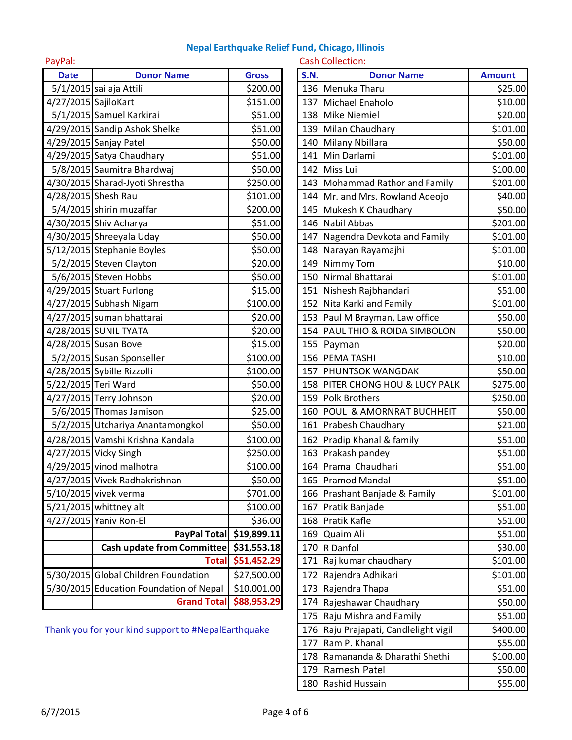PayPal: Cash Collection:

| <b>Date</b>          | <b>Donor Name</b>                       | <b>Gross</b> | <b>S.N.</b> | <b>Donor Name</b>               | <b>Amount</b> |
|----------------------|-----------------------------------------|--------------|-------------|---------------------------------|---------------|
|                      | 5/1/2015 sailaja Attili                 | \$200.00     |             | 136 Menuka Tharu                | \$25.00       |
| 4/27/2015 SajiloKart |                                         | \$151.00     |             | 137 Michael Enaholo             | \$10.00       |
|                      | 5/1/2015 Samuel Karkirai                | \$51.00      |             | 138 Mike Niemiel                | \$20.00       |
|                      | 4/29/2015 Sandip Ashok Shelke           | \$51.00      |             | 139 Milan Chaudhary             | \$101.00      |
|                      | 4/29/2015 Sanjay Patel                  | \$50.00      |             | 140 Milany Nbillara             | \$50.00       |
|                      | 4/29/2015 Satya Chaudhary               | \$51.00      |             | 141 Min Darlami                 | \$101.00      |
|                      | 5/8/2015 Saumitra Bhardwaj              | \$50.00      |             | 142 Miss Lui                    | \$100.00      |
|                      | 4/30/2015 Sharad-Jyoti Shrestha         | \$250.00     |             | 143 Mohammad Rathor and Family  | \$201.00      |
|                      | 4/28/2015 Shesh Rau                     | \$101.00     |             | 144 Mr. and Mrs. Rowland Adeojo | \$40.00       |
|                      | 5/4/2015 shirin muzaffar                | \$200.00     |             | 145 Mukesh K Chaudhary          | \$50.00       |
|                      | 4/30/2015 Shiv Acharya                  | \$51.00      |             | 146 Nabil Abbas                 | \$201.00      |
|                      | 4/30/2015 Shreeyala Uday                | \$50.00      |             | 147 Nagendra Devkota and Family | \$101.00      |
|                      | 5/12/2015 Stephanie Boyles              | \$50.00      |             | 148 Narayan Rayamajhi           | \$101.00      |
|                      | 5/2/2015 Steven Clayton                 | \$20.00      |             | 149 Nimmy Tom                   | \$10.00       |
|                      | 5/6/2015 Steven Hobbs                   | \$50.00      |             | 150 Nirmal Bhattarai            | \$101.00      |
|                      | 4/29/2015 Stuart Furlong                | \$15.00      |             | 151 Nishesh Rajbhandari         | \$51.00       |
|                      | 4/27/2015 Subhash Nigam                 | \$100.00     |             | 152 Nita Karki and Family       | \$101.00      |
|                      | 4/27/2015 suman bhattarai               | \$20.00      |             | 153 Paul M Brayman, Law office  | \$50.00       |
|                      | 4/28/2015 SUNIL TYATA                   | \$20.00      |             | 154 PAUL THIO & ROIDA SIMBOLON  | \$50.00       |
|                      | 4/28/2015 Susan Bove                    | \$15.00      |             | 155 Payman                      | \$20.00       |
|                      | 5/2/2015 Susan Sponseller               | \$100.00     |             | 156 PEMA TASHI                  | \$10.00       |
|                      | 4/28/2015 Sybille Rizzolli              | \$100.00     |             | 157 PHUNTSOK WANGDAK            | \$50.00       |
|                      | 5/22/2015 Teri Ward                     | \$50.00      |             | 158 PITER CHONG HOU & LUCY PALK | \$275.00      |
|                      | 4/27/2015 Terry Johnson                 | \$20.00      |             | 159 Polk Brothers               | \$250.00      |
|                      | 5/6/2015 Thomas Jamison                 | \$25.00      |             | 160 POUL & AMORNRAT BUCHHEIT    | \$50.00       |
|                      | 5/2/2015 Utchariya Anantamongkol        | \$50.00      |             | 161 Prabesh Chaudhary           | \$21.00       |
|                      | 4/28/2015 Vamshi Krishna Kandala        | \$100.00     |             | 162 Pradip Khanal & family      | \$51.00       |
|                      | 4/27/2015 Vicky Singh                   | \$250.00     |             | 163 Prakash pandey              | \$51.00       |
|                      | 4/29/2015 vinod malhotra                | \$100.00     |             | 164 Prama Chaudhari             | \$51.00       |
|                      | 4/27/2015 Vivek Radhakrishnan           | \$50.00      |             | 165 Pramod Mandal               | \$51.00       |
|                      | $5/10/2015$ vivek verma                 | \$701.00     |             | 166 Prashant Banjade & Family   | \$101.00      |
|                      | 5/21/2015 whittney alt                  | \$100.00     | 167         | Pratik Banjade                  | \$51.00       |
|                      | 4/27/2015 Yaniv Ron-El                  | \$36.00      | 168         | Pratik Kafle                    | \$51.00       |
|                      | PayPal Total                            | \$19,899.11  | 169         | Quaim Ali                       | \$51.00       |
|                      | <b>Cash update from Committee</b>       | \$31,553.18  | 170         | R Danfol                        | \$30.00       |
|                      | <b>Total</b>                            | \$51,452.29  | 171         | Raj kumar chaudhary             | \$101.00      |
|                      | 5/30/2015 Global Children Foundation    | \$27,500.00  | 172         | Rajendra Adhikari               | \$101.00      |
|                      | 5/30/2015 Education Foundation of Nepal | \$10,001.00  | 173         | Rajendra Thapa                  | \$51.00       |
|                      | <b>Grand Total</b>                      | \$88,953.29  |             | 174 Rajeshawar Chaudhary        | \$50.00       |
|                      |                                         |              |             |                                 |               |

Thank you for your kind support to #NepalEarthquake

| <b>Gross</b>                          | <b>Donor Name</b>           | <b>Amount</b>                                                                                                                                                                                                                                                                                                                                                                                                                                                                                                                                                                                                                                                                                                                                                                                                                                                                                                                                                                                                                                                                                                                    |
|---------------------------------------|-----------------------------|----------------------------------------------------------------------------------------------------------------------------------------------------------------------------------------------------------------------------------------------------------------------------------------------------------------------------------------------------------------------------------------------------------------------------------------------------------------------------------------------------------------------------------------------------------------------------------------------------------------------------------------------------------------------------------------------------------------------------------------------------------------------------------------------------------------------------------------------------------------------------------------------------------------------------------------------------------------------------------------------------------------------------------------------------------------------------------------------------------------------------------|
| \$200.00                              |                             | \$25.00                                                                                                                                                                                                                                                                                                                                                                                                                                                                                                                                                                                                                                                                                                                                                                                                                                                                                                                                                                                                                                                                                                                          |
| \$151.00                              |                             | \$10.00                                                                                                                                                                                                                                                                                                                                                                                                                                                                                                                                                                                                                                                                                                                                                                                                                                                                                                                                                                                                                                                                                                                          |
| \$51.00                               |                             | \$20.00                                                                                                                                                                                                                                                                                                                                                                                                                                                                                                                                                                                                                                                                                                                                                                                                                                                                                                                                                                                                                                                                                                                          |
| \$51.00                               |                             | \$101.00                                                                                                                                                                                                                                                                                                                                                                                                                                                                                                                                                                                                                                                                                                                                                                                                                                                                                                                                                                                                                                                                                                                         |
| \$50.00                               |                             | \$50.00                                                                                                                                                                                                                                                                                                                                                                                                                                                                                                                                                                                                                                                                                                                                                                                                                                                                                                                                                                                                                                                                                                                          |
| \$51.00                               |                             | \$101.00                                                                                                                                                                                                                                                                                                                                                                                                                                                                                                                                                                                                                                                                                                                                                                                                                                                                                                                                                                                                                                                                                                                         |
| \$50.00                               |                             | \$100.00                                                                                                                                                                                                                                                                                                                                                                                                                                                                                                                                                                                                                                                                                                                                                                                                                                                                                                                                                                                                                                                                                                                         |
| \$250.00                              |                             | \$201.00                                                                                                                                                                                                                                                                                                                                                                                                                                                                                                                                                                                                                                                                                                                                                                                                                                                                                                                                                                                                                                                                                                                         |
| \$101.00                              |                             | \$40.00                                                                                                                                                                                                                                                                                                                                                                                                                                                                                                                                                                                                                                                                                                                                                                                                                                                                                                                                                                                                                                                                                                                          |
| \$200.00                              |                             | \$50.00                                                                                                                                                                                                                                                                                                                                                                                                                                                                                                                                                                                                                                                                                                                                                                                                                                                                                                                                                                                                                                                                                                                          |
| \$51.00                               |                             | \$201.00                                                                                                                                                                                                                                                                                                                                                                                                                                                                                                                                                                                                                                                                                                                                                                                                                                                                                                                                                                                                                                                                                                                         |
| \$50.00                               |                             | \$101.00                                                                                                                                                                                                                                                                                                                                                                                                                                                                                                                                                                                                                                                                                                                                                                                                                                                                                                                                                                                                                                                                                                                         |
| \$50.00                               |                             | \$101.00                                                                                                                                                                                                                                                                                                                                                                                                                                                                                                                                                                                                                                                                                                                                                                                                                                                                                                                                                                                                                                                                                                                         |
| \$20.00                               |                             | \$10.00                                                                                                                                                                                                                                                                                                                                                                                                                                                                                                                                                                                                                                                                                                                                                                                                                                                                                                                                                                                                                                                                                                                          |
| \$50.00                               |                             | \$101.00                                                                                                                                                                                                                                                                                                                                                                                                                                                                                                                                                                                                                                                                                                                                                                                                                                                                                                                                                                                                                                                                                                                         |
| \$15.00                               |                             | \$51.00                                                                                                                                                                                                                                                                                                                                                                                                                                                                                                                                                                                                                                                                                                                                                                                                                                                                                                                                                                                                                                                                                                                          |
| \$100.00                              |                             | \$101.00                                                                                                                                                                                                                                                                                                                                                                                                                                                                                                                                                                                                                                                                                                                                                                                                                                                                                                                                                                                                                                                                                                                         |
| \$20.00                               |                             | \$50.00                                                                                                                                                                                                                                                                                                                                                                                                                                                                                                                                                                                                                                                                                                                                                                                                                                                                                                                                                                                                                                                                                                                          |
| \$20.00                               |                             | \$50.00                                                                                                                                                                                                                                                                                                                                                                                                                                                                                                                                                                                                                                                                                                                                                                                                                                                                                                                                                                                                                                                                                                                          |
| \$15.00                               |                             | \$20.00                                                                                                                                                                                                                                                                                                                                                                                                                                                                                                                                                                                                                                                                                                                                                                                                                                                                                                                                                                                                                                                                                                                          |
| \$100.00                              |                             | \$10.00                                                                                                                                                                                                                                                                                                                                                                                                                                                                                                                                                                                                                                                                                                                                                                                                                                                                                                                                                                                                                                                                                                                          |
| \$100.00                              |                             | \$50.00                                                                                                                                                                                                                                                                                                                                                                                                                                                                                                                                                                                                                                                                                                                                                                                                                                                                                                                                                                                                                                                                                                                          |
| \$50.00                               |                             | \$275.00                                                                                                                                                                                                                                                                                                                                                                                                                                                                                                                                                                                                                                                                                                                                                                                                                                                                                                                                                                                                                                                                                                                         |
| \$20.00                               |                             | \$250.00                                                                                                                                                                                                                                                                                                                                                                                                                                                                                                                                                                                                                                                                                                                                                                                                                                                                                                                                                                                                                                                                                                                         |
| \$25.00                               |                             | \$50.00                                                                                                                                                                                                                                                                                                                                                                                                                                                                                                                                                                                                                                                                                                                                                                                                                                                                                                                                                                                                                                                                                                                          |
| \$50.00                               |                             | \$21.00                                                                                                                                                                                                                                                                                                                                                                                                                                                                                                                                                                                                                                                                                                                                                                                                                                                                                                                                                                                                                                                                                                                          |
| \$100.00                              |                             | \$51.00                                                                                                                                                                                                                                                                                                                                                                                                                                                                                                                                                                                                                                                                                                                                                                                                                                                                                                                                                                                                                                                                                                                          |
| \$250.00                              |                             | \$51.00                                                                                                                                                                                                                                                                                                                                                                                                                                                                                                                                                                                                                                                                                                                                                                                                                                                                                                                                                                                                                                                                                                                          |
| \$100.00                              |                             | \$51.00                                                                                                                                                                                                                                                                                                                                                                                                                                                                                                                                                                                                                                                                                                                                                                                                                                                                                                                                                                                                                                                                                                                          |
| \$50.00                               |                             | \$51.00                                                                                                                                                                                                                                                                                                                                                                                                                                                                                                                                                                                                                                                                                                                                                                                                                                                                                                                                                                                                                                                                                                                          |
| \$701.00                              |                             | \$101.00                                                                                                                                                                                                                                                                                                                                                                                                                                                                                                                                                                                                                                                                                                                                                                                                                                                                                                                                                                                                                                                                                                                         |
| \$100.00                              |                             | \$51.00                                                                                                                                                                                                                                                                                                                                                                                                                                                                                                                                                                                                                                                                                                                                                                                                                                                                                                                                                                                                                                                                                                                          |
| \$36.00                               |                             | \$51.00                                                                                                                                                                                                                                                                                                                                                                                                                                                                                                                                                                                                                                                                                                                                                                                                                                                                                                                                                                                                                                                                                                                          |
| PayPal Total<br>\$19,899.11           | Quaim Ali                   | \$51.00                                                                                                                                                                                                                                                                                                                                                                                                                                                                                                                                                                                                                                                                                                                                                                                                                                                                                                                                                                                                                                                                                                                          |
| \$31,553.18                           |                             | \$30.00                                                                                                                                                                                                                                                                                                                                                                                                                                                                                                                                                                                                                                                                                                                                                                                                                                                                                                                                                                                                                                                                                                                          |
| \$51,452.29                           |                             | \$101.00                                                                                                                                                                                                                                                                                                                                                                                                                                                                                                                                                                                                                                                                                                                                                                                                                                                                                                                                                                                                                                                                                                                         |
| \$27,500.00                           |                             | \$101.00                                                                                                                                                                                                                                                                                                                                                                                                                                                                                                                                                                                                                                                                                                                                                                                                                                                                                                                                                                                                                                                                                                                         |
| \$10,001.00                           |                             | \$51.00                                                                                                                                                                                                                                                                                                                                                                                                                                                                                                                                                                                                                                                                                                                                                                                                                                                                                                                                                                                                                                                                                                                          |
| \$88,953.29                           |                             | \$50.00                                                                                                                                                                                                                                                                                                                                                                                                                                                                                                                                                                                                                                                                                                                                                                                                                                                                                                                                                                                                                                                                                                                          |
|                                       |                             | \$51.00                                                                                                                                                                                                                                                                                                                                                                                                                                                                                                                                                                                                                                                                                                                                                                                                                                                                                                                                                                                                                                                                                                                          |
| your kind support to #NepalEarthquake |                             | \$400.00                                                                                                                                                                                                                                                                                                                                                                                                                                                                                                                                                                                                                                                                                                                                                                                                                                                                                                                                                                                                                                                                                                                         |
|                                       | Ram P. Khanal               | \$55.00                                                                                                                                                                                                                                                                                                                                                                                                                                                                                                                                                                                                                                                                                                                                                                                                                                                                                                                                                                                                                                                                                                                          |
|                                       | Ramananda & Dharathi Shethi | \$100.00                                                                                                                                                                                                                                                                                                                                                                                                                                                                                                                                                                                                                                                                                                                                                                                                                                                                                                                                                                                                                                                                                                                         |
|                                       |                             | \$50.00                                                                                                                                                                                                                                                                                                                                                                                                                                                                                                                                                                                                                                                                                                                                                                                                                                                                                                                                                                                                                                                                                                                          |
|                                       |                             | \$55.00                                                                                                                                                                                                                                                                                                                                                                                                                                                                                                                                                                                                                                                                                                                                                                                                                                                                                                                                                                                                                                                                                                                          |
|                                       |                             | <b>S.N.</b><br>136 Menuka Tharu<br>137 Michael Enaholo<br>138 Mike Niemiel<br>139 Milan Chaudhary<br>140 Milany Nbillara<br>141 Min Darlami<br>142 Miss Lui<br>143 Mohammad Rathor and Family<br>144 Mr. and Mrs. Rowland Adeojo<br>145 Mukesh K Chaudhary<br>146 Nabil Abbas<br>147 Nagendra Devkota and Family<br>148 Narayan Rayamajhi<br>149 Nimmy Tom<br>150 Nirmal Bhattarai<br>151 Nishesh Rajbhandari<br>152 Nita Karki and Family<br>153 Paul M Brayman, Law office<br>154 PAUL THIO & ROIDA SIMBOLON<br>155 Payman<br>156 PEMA TASHI<br>157 PHUNTSOK WANGDAK<br>158 PITER CHONG HOU & LUCY PALK<br>159 Polk Brothers<br>160 POUL & AMORNRAT BUCHHEIT<br>161 Prabesh Chaudhary<br>162 Pradip Khanal & family<br>163 Prakash pandey<br>164 Prama Chaudhari<br>165 Pramod Mandal<br>166 Prashant Banjade & Family<br>167 Pratik Banjade<br>168 Pratik Kafle<br>169<br>170 R Danfol<br>171 Raj kumar chaudhary<br>172 Rajendra Adhikari<br>173 Rajendra Thapa<br>174 Rajeshawar Chaudhary<br>175   Raju Mishra and Family<br>176 Raju Prajapati, Candlelight vigil<br>177<br>178<br>179 Ramesh Patel<br>180 Rashid Hussain |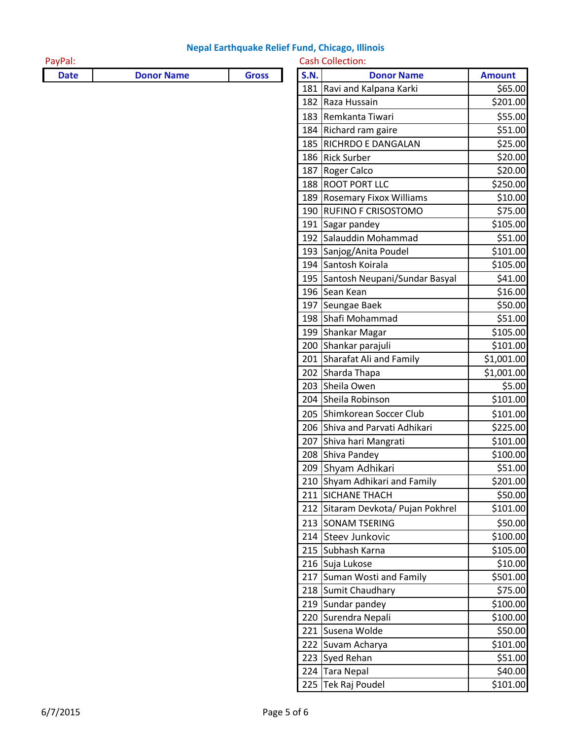| PayPal:     |                   |              | <b>Cash Collection:</b> |                                    |               |
|-------------|-------------------|--------------|-------------------------|------------------------------------|---------------|
| <b>Date</b> | <b>Donor Name</b> | <b>Gross</b> | <b>S.N.</b>             | <b>Donor Name</b>                  | <b>Amount</b> |
|             |                   |              |                         | 181 Ravi and Kalpana Karki         | \$65.00       |
|             |                   |              |                         | 182 Raza Hussain                   | \$201.00      |
|             |                   |              |                         | 183 Remkanta Tiwari                | \$55.00       |
|             |                   |              |                         | 184 Richard ram gaire              | \$51.00       |
|             |                   |              |                         | 185 RICHRDO E DANGALAN             | \$25.00       |
|             |                   |              |                         | 186 Rick Surber                    | \$20.00       |
|             |                   |              |                         | 187 Roger Calco                    | \$20.00       |
|             |                   |              |                         | 188 ROOT PORT LLC                  | \$250.00      |
|             |                   |              |                         | 189 Rosemary Fixox Williams        | \$10.00       |
|             |                   |              |                         | 190 RUFINO F CRISOSTOMO            | \$75.00       |
|             |                   |              |                         | 191 Sagar pandey                   | \$105.00      |
|             |                   |              |                         | 192 Salauddin Mohammad             | \$51.00       |
|             |                   |              |                         | 193 Sanjog/Anita Poudel            | \$101.00      |
|             |                   |              |                         | 194 Santosh Koirala                | \$105.00      |
|             |                   |              |                         | 195 Santosh Neupani/Sundar Basyal  | \$41.00       |
|             |                   |              |                         | 196 Sean Kean                      | \$16.00       |
|             |                   |              |                         | 197 Seungae Baek                   | \$50.00       |
|             |                   |              |                         | 198 Shafi Mohammad                 | \$51.00       |
|             |                   |              |                         | 199 Shankar Magar                  | \$105.00      |
|             |                   |              |                         | 200 Shankar parajuli               | \$101.00      |
|             |                   |              |                         | 201 Sharafat Ali and Family        | \$1,001.00    |
|             |                   |              |                         | 202 Sharda Thapa                   | \$1,001.00    |
|             |                   |              |                         | 203 Sheila Owen                    | \$5.00        |
|             |                   |              |                         | 204 Sheila Robinson                | \$101.00      |
|             |                   |              |                         | 205 Shimkorean Soccer Club         | \$101.00      |
|             |                   |              |                         | 206 Shiva and Parvati Adhikari     | \$225.00      |
|             |                   |              |                         | 207 Shiva hari Mangrati            | \$101.00      |
|             |                   |              |                         | 208 Shiva Pandey                   | \$100.00      |
|             |                   |              |                         | 209 Shyam Adhikari                 | \$51.00       |
|             |                   |              |                         | 210 Shyam Adhikari and Family      | \$201.00      |
|             |                   |              |                         | 211 SICHANE THACH                  | \$50.00       |
|             |                   |              |                         | 212 Sitaram Devkota/ Pujan Pokhrel | \$101.00      |
|             |                   |              |                         | 213 SONAM TSERING                  | \$50.00       |
|             |                   |              |                         | 214 Steev Junkovic                 | \$100.00      |
|             |                   |              |                         | 215 Subhash Karna                  | \$105.00      |
|             |                   |              |                         | 216 Suja Lukose                    | \$10.00       |
|             |                   |              |                         | 217 Suman Wosti and Family         | \$501.00      |
|             |                   |              |                         | 218 Sumit Chaudhary                | \$75.00       |
|             |                   |              |                         | 219 Sundar pandey                  | \$100.00      |
|             |                   |              |                         | 220 Surendra Nepali                | \$100.00      |
|             |                   |              |                         | 221 Susena Wolde                   | \$50.00       |
|             |                   |              |                         | 222 Suvam Acharya                  | \$101.00      |
|             |                   |              |                         | 223 Syed Rehan                     | \$51.00       |
|             |                   |              |                         | 224 Tara Nepal                     | \$40.00       |
|             |                   |              |                         |                                    |               |

| 182 | Raza Hussain                   | \$201.00   |
|-----|--------------------------------|------------|
| 183 | Remkanta Tiwari                | \$55.00    |
| 184 | Richard ram gaire              | \$51.00    |
| 185 | RICHRDO E DANGALAN             | \$25.00    |
| 186 | <b>Rick Surber</b>             | \$20.00    |
| 187 | Roger Calco                    | \$20.00    |
| 188 | <b>ROOT PORT LLC</b>           | \$250.00   |
| 189 | <b>Rosemary Fixox Williams</b> | \$10.00    |
| 190 | RUFINO F CRISOSTOMO            | \$75.00    |
| 191 | Sagar pandey                   | \$105.00   |
| 192 | Salauddin Mohammad             | \$51.00    |
| 193 | Sanjog/Anita Poudel            | \$101.00   |
| 194 | Santosh Koirala                | \$105.00   |
| 195 | Santosh Neupani/Sundar Basyal  | \$41.00    |
| 196 | Sean Kean                      | \$16.00    |
| 197 | Seungae Baek                   | \$50.00    |
| 198 | Shafi Mohammad                 | \$51.00    |
| 199 | Shankar Magar                  | \$105.00   |
| 200 | Shankar parajuli               | \$101.00   |
| 201 | Sharafat Ali and Family        | \$1,001.00 |
| 202 | Sharda Thapa                   | \$1,001.00 |
| 203 | Sheila Owen                    | \$5.00     |
| 204 | Sheila Robinson                | \$101.00   |
| 205 | Shimkorean Soccer Club         | \$101.00   |
| 206 | Shiva and Parvati Adhikari     | \$225.00   |
| 207 | Shiva hari Mangrati            | \$101.00   |
| 208 | Shiva Pandey                   | \$100.00   |
| 209 | Shyam Adhikari                 | \$51.00    |
| 210 | Shyam Adhikari and Family      | \$201.00   |
| 211 | <b>SICHANE THACH</b>           | \$50.00    |
| 212 | Sitaram Devkota/ Pujan Pokhrel | \$101.00   |
| 213 | <b>SONAM TSERING</b>           | \$50.00    |
| 214 | Steev Junkovic                 | \$100.00   |
| 215 | Subhash Karna                  | \$105.00   |
| 216 | Suja Lukose                    | \$10.00    |
| 217 | Suman Wosti and Family         | \$501.00   |
| 218 | Sumit Chaudhary                | \$75.00    |
| 219 | Sundar pandey                  | \$100.00   |
| 220 | Surendra Nepali                | \$100.00   |
| 221 | Susena Wolde                   | \$50.00    |
| 222 | Suvam Acharya                  | \$101.00   |

225 Tek Raj Poudel \$101.00